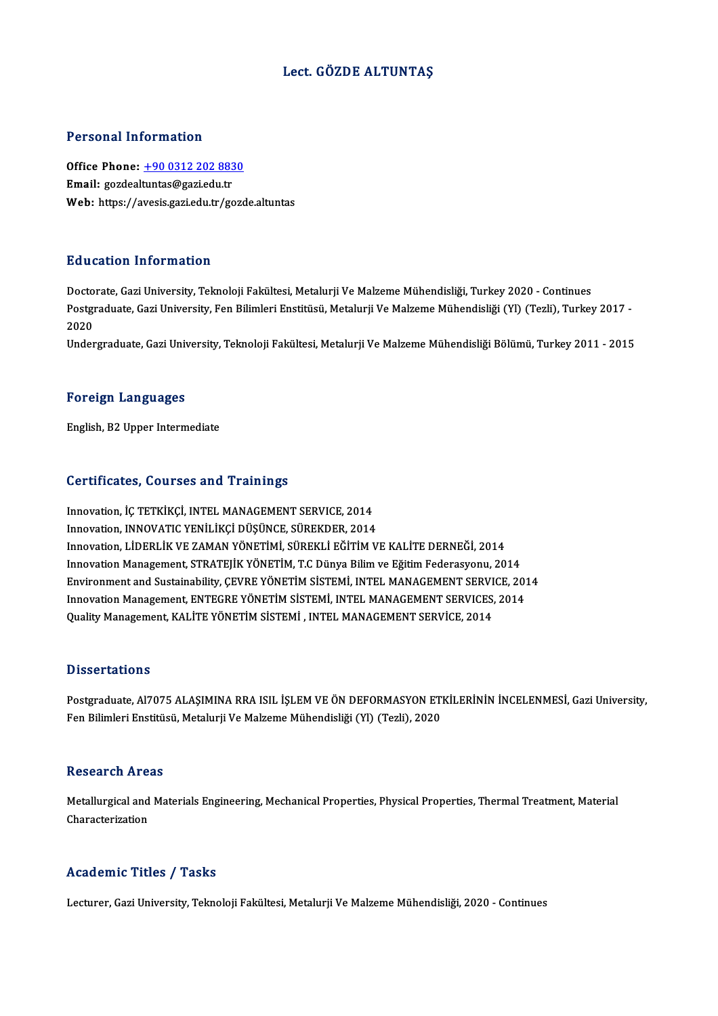### Lect. GÖZDE ALTUNTAŞ

### Personal Information

Personal Information<br>Office Phone: <u>+90 0312 202 8830</u><br>Email: cardealtuntas@aari.edu.tr Processing information<br>Office Phone: <u>+90 0312 202 883</u><br>Email: gozdeal[tuntas@gazi.edu.tr](tel:+90 0312 202 8830) Email: gozdealtuntas@gazi.edu.tr<br>Web: https://avesis.gazi.edu.tr/gozde.altuntas

### Education Information

Doctorate, Gazi University, Teknoloji Fakültesi, Metalurji Ve Malzeme Mühendisliği, Turkey 2020 - Continues Pu u outron "III'on III'utron"<br>Doctorate, Gazi University, Teknoloji Fakültesi, Metalurji Ve Malzeme Mühendisliği, Turkey 2020 - Continues<br>Postgraduate, Gazi University, Fen Bilimleri Enstitüsü, Metalurji Ve Malzeme Mühend Docto<br>Postgi<br>2020<br>Under Postgraduate, Gazi University, Fen Bilimleri Enstitüsü, Metalurji Ve Malzeme Mühendisliği (Yl) (Tezli), Turkey 2017 -<br>2020<br>Undergraduate, Gazi University, Teknoloji Fakültesi, Metalurji Ve Malzeme Mühendisliği Bölümü, Turk

Undergraduate, Gazi University, Teknoloji Fakültesi, Metalurji Ve Malzeme Mühendisliği Bölümü, Turkey 2011 - 2015<br>Foreign Languages

English,B2Upper Intermediate

### Certificates, Courses and Trainings

Innovation, İÇ TETKİKÇİ, INTEL MANAGEMENT SERVICE, 2014 Innovation, INNOVATIC YENİLİKÇİ DÜŞÜNCE, SÜREKDER, 2014 Innovation, LİDERLİK VE ZAMAN YÖNETİMİ, SÜREKLİ EĞİTİM VE KALİTE DERNEĞİ, 2014 Innovation Management, STRATEJİK YÖNETİM, T.C Dünya Bilim ve Eğitim Federasyonu, 2014 Innovation, LİDERLİK VE ZAMAN YÖNETİMİ, SÜREKLİ EĞİTİM VE KALİTE DERNEĞİ, 2014<br>Innovation Management, STRATEJİK YÖNETİM, T.C Dünya Bilim ve Eğitim Federasyonu, 2014<br>Environment and Sustainability, ÇEVRE YÖNETİM SİSTEMİ, IN Innovation Management, STRATEJİK YÖNETİM, T.C Dünya Bilim ve Eğitim Federasyonu, 2014<br>Environment and Sustainability, ÇEVRE YÖNETİM SİSTEMİ, INTEL MANAGEMENT SERVICE, 201<br>Innovation Management, ENTEGRE YÖNETİM SİSTEMİ, INT Environment and Sustainability, ÇEVRE YÖNETİM SİSTEMİ, INTEL MANAGEMENT SERVI<br>Innovation Management, ENTEGRE YÖNETİM SİSTEMİ, INTEL MANAGEMENT SERVICES,<br>Quality Management, KALİTE YÖNETİM SİSTEMİ , INTEL MANAGEMENT SERVİCE Quality Management, KALİTE YÖNETİM SİSTEMİ , INTEL MANAGEMENT SERVİCE, 2014<br>Dissertations

Postgraduate, Al7075 ALAŞIMINA RRA ISIL İŞLEM VE ÖN DEFORMASYON ETKİLERİNİN İNCELENMESİ, Gazi University, Fen Bilimleri Enstitüsü, Metalurji Ve Malzeme Mühendisliği (Yl) (Tezli), 2020

### **Research Areas**

Research Areas<br>Metallurgical and Materials Engineering, Mechanical Properties, Physical Properties, Thermal Treatment, Material<br>Characterization **Characterization**<br>Metallurgical and<br>Characterization

## Characterization<br>Academic Titles / Tasks

Lecturer, Gazi University, Teknoloji Fakültesi, Metalurji Ve Malzeme Mühendisliği, 2020 - Continues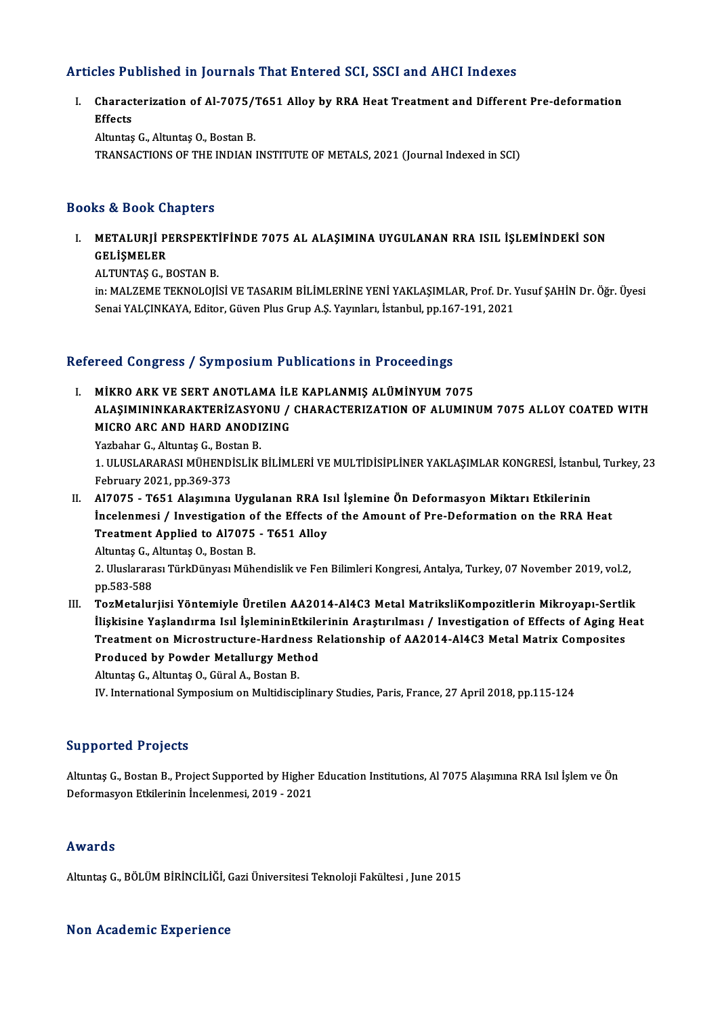## Articles Published in Journals That Entered SCI, SSCI and AHCI Indexes

rticles Published in Journals That Entered SCI, SSCI and AHCI Indexes<br>I. Characterization of Al-7075/T651 Alloy by RRA Heat Treatment and Different Pre-deformation<br>F<sup>efects</sup> Second<br>Charact<br>Effects Characterization of Al-7075/"<br>Effects<br>Altuntaş G., Altuntaş O., Bostan B.<br>TRANSACTIONS OF THE INDIAN

Effects<br>Altuntaş G., Altuntaş O., Bostan B.<br>TRANSACTIONS OF THE INDIAN INSTITUTE OF METALS, 2021 (Journal Indexed in SCI)

### Books&Book Chapters

OOks & Book Chapters<br>I. METALURJİ PERSPEKTİFİNDE 7075 AL ALAŞIMINA UYGULANAN RRA ISIL İŞLEMİNDEKİ SON<br>CELİSMELER METALURJİ<br>METALURJİ PI<br>GELİŞMELER<br>ALTINTAS C GELİŞMELER<br>ALTUNTAŞ G., BOSTAN B.

in: MALZEME TEKNOLOJİSİ VE TASARIM BİLİMLERİNE YENİ YAKLAŞIMLAR, Prof. Dr. Yusuf ŞAHİN Dr. Öğr. Üyesi Senai YALÇINKAYA, Editor, Güven Plus Grup A.Ş. Yayınları, İstanbul, pp.167-191, 2021

# senal ralçınkarı, Edilor, Güven Pius Grup A.ş. rayımarı, İslambul, pp.16.<br>Refereed Congress / Symposium Publications in Proceedings

efereed Congress / Symposium Publications in Proceedings<br>I. MİKRO ARK VE SERT ANOTLAMA İLE KAPLANMIŞ ALÜMİNYUM 7075<br>ALASIMININKARAKTERİZASYONU / CHARACTERIZATION OF ALUMINI TOCA CONGLOSSY SYMPOSIAM I ASHOACIONS IN TTOCCOANGO<br>MİKRO ARK VE SERT ANOTLAMA İLE KAPLANMIŞ ALÜMINYUM 7075<br>ALAŞIMININKARAKTERİZASYONU / CHARACTERIZATION OF ALUMINUM 7075 ALLOY COATED WITH MIKRO ARK VE SERT ANOTLAMA İLI<br>ALAŞIMININKARAKTERİZASYONU /<br>MICRO ARC AND HARD ANODIZING<br><sup>Varbabar C. Altuntas C. Bastar B</sup> ALAŞIMININKARAKTERİZASYO<br>MICRO ARC AND HARD ANODI<br>Yazbahar G., Altuntaş G., Bostan B.<br>1 HI HSLARARASI MÜHENDİSLİK

MICRO ARC AND HARD ANODIZING<br>Yazbahar G., Altuntaş G., Bostan B.<br>1. ULUSLARARASI MÜHENDİSLİK BİLİMLERİ VE MULTİDİSİPLİNER YAKLAŞIMLAR KONGRESİ, İstanbul, Turkey, 23<br>February 2021, np.260.272. Yazbahar G., Altuntaş G., Bos<br>1. ULUSLARARASI MÜHENDİ<br>February 2021, pp.369-373<br>Al7075 - Té51 Alsaumuna

February 2021, pp.369-373<br>II. Al7075 - T651 Alaşımına Uygulanan RRA Isıl İşlemine Ön Deformasyon Miktarı Etkilerinin February 2021, pp.369-373<br>Al7075 - T651 Alaşımına Uygulanan RRA Isıl İşlemine Ön Deformasyon Miktarı Etkilerinin<br>İncelenmesi / Investigation of the Effects of the Amount of Pre-Deformation on the RRA Heat<br>Treatment Annlied Al7075 - T651 Alaşımına Uygulanan RRA Is<br>İncelenmesi / Investigation of the Effects of<br>Treatment Applied to Al7075 - T651 Alloy<br>Altuntes C. Altuntes O. Bestan B İncelenmesi / Investigation o<br>Treatment Applied to Al7075<br>Altuntaş G., Altuntaş O., Bostan B.<br>2. Uluslararası TürkDünyası Müh

Treatment Applied to Al7075 - T651 Alloy<br>Altuntaş G., Altuntaş O., Bostan B.<br>2. Uluslararası TürkDünyası Mühendislik ve Fen Bilimleri Kongresi, Antalya, Turkey, 07 November 2019, vol.2,<br>nn 593 599 Altuntaş G., *I*<br>2. Uluslarara<br>pp.583-588<br>Ter**M**etalus

pp.583-588<br>III. TozMetalurjisi Yöntemiyle Üretilen AA2014-Al4C3 Metal MatriksliKompozitlerin Mikroyapı-Sertlik İlişkisine Yaşlandırma Isıl İşlemininEtkilerinin Araştırılması / Investigation of Effects of Aging Heat TozMetalurjisi Yöntemiyle Üretilen AA2014-Al4C3 Metal MatriksliKompozitlerin Mikroyapı-Sertli<br>İlişkisine Yaşlandırma Isıl İşlemininEtkilerinin Araştırılması / Investigation of Effects of Aging H<br>Treatment on Microstructure Ilişkisine Yaşlandırma Isıl İşlemininEtkile<br>Treatment on Microstructure-Hardness R<br>Produced by Powder Metallurgy Method<br>Altuntes C. Altuntes O. Gürel A. Bestan B Treatment on Microstructure-Hardne<br>Produced by Powder Metallurgy Meth<br>Altuntaş G., Altuntaş O., Güral A., Bostan B.<br>W. International Sumnesium on Multidisci Produced by Powder Metallurgy Method<br>Altuntaş G., Altuntaş O., Güral A., Bostan B.<br>IV. International Symposium on Multidisciplinary Studies, Paris, France, 27 April 2018, pp.115-124

### Supported Projects

Altuntaş G., Bostan B., Project Supported by Higher Education Institutions, Al 7075 Alaşımına RRA Isıl İslem ve Ön Deformasyon Etkilerinin İncelenmesi, 2019 - 2021

### Awards

Altuntaş G., BÖLÜM BİRİNCİLİĞİ, Gazi Üniversitesi Teknoloji Fakültesi, June 2015

### Non Academic Experience